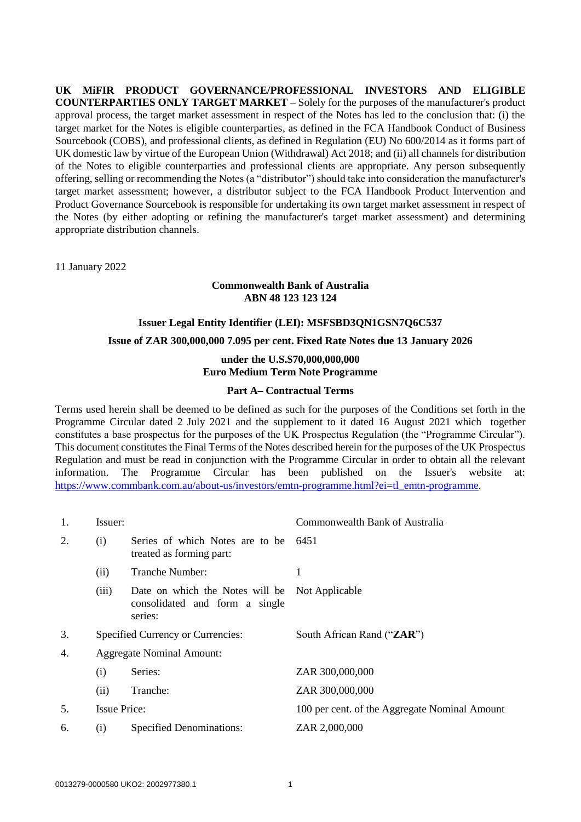**UK MiFIR PRODUCT GOVERNANCE/PROFESSIONAL INVESTORS AND ELIGIBLE COUNTERPARTIES ONLY TARGET MARKET** – Solely for the purposes of the manufacturer's product approval process, the target market assessment in respect of the Notes has led to the conclusion that: (i) the target market for the Notes is eligible counterparties, as defined in the FCA Handbook Conduct of Business Sourcebook (COBS), and professional clients, as defined in Regulation (EU) No 600/2014 as it forms part of UK domestic law by virtue of the European Union (Withdrawal) Act 2018; and (ii) all channels for distribution of the Notes to eligible counterparties and professional clients are appropriate. Any person subsequently offering, selling or recommending the Notes (a "distributor") should take into consideration the manufacturer's target market assessment; however, a distributor subject to the FCA Handbook Product Intervention and Product Governance Sourcebook is responsible for undertaking its own target market assessment in respect of the Notes (by either adopting or refining the manufacturer's target market assessment) and determining appropriate distribution channels.

11 January 2022

## **Commonwealth Bank of Australia ABN 48 123 123 124**

# **Issuer Legal Entity Identifier (LEI): MSFSBD3QN1GSN7Q6C537**

# **Issue of ZAR 300,000,000 7.095 per cent. Fixed Rate Notes due 13 January 2026**

# **under the U.S.\$70,000,000,000 Euro Medium Term Note Programme**

## **Part A– Contractual Terms**

Terms used herein shall be deemed to be defined as such for the purposes of the Conditions set forth in the Programme Circular dated 2 July 2021 and the supplement to it dated 16 August 2021 which together constitutes a base prospectus for the purposes of the UK Prospectus Regulation (the "Programme Circular"). This document constitutes the Final Terms of the Notes described herein for the purposes of the UK Prospectus Regulation and must be read in conjunction with the Programme Circular in order to obtain all the relevant information. The Programme Circular has been published on the Issuer's website at: [https://www.commbank.com.au/about-us/investors/emtn-programme.html?ei=tl\\_emtn-programme.](https://www.commbank.com.au/about-us/investors/emtn-programme.html?ei=tl_emtn-programme)

| 1. | Issuer:                                |                                                                                             | Commonwealth Bank of Australia                |
|----|----------------------------------------|---------------------------------------------------------------------------------------------|-----------------------------------------------|
| 2. | (i)                                    | Series of which Notes are to be<br>treated as forming part:                                 | 6451                                          |
|    | (ii)                                   | Tranche Number:                                                                             | 1                                             |
|    | (iii)                                  | Date on which the Notes will be Not Applicable<br>consolidated and form a single<br>series: |                                               |
| 3. |                                        | Specified Currency or Currencies:                                                           | South African Rand ("ZAR")                    |
| 4. |                                        | <b>Aggregate Nominal Amount:</b>                                                            |                                               |
|    | (i)                                    | Series:                                                                                     | ZAR 300,000,000                               |
|    | (ii)                                   | Tranche:                                                                                    | ZAR 300,000,000                               |
| 5. | <b>Issue Price:</b>                    |                                                                                             | 100 per cent. of the Aggregate Nominal Amount |
| 6. | <b>Specified Denominations:</b><br>(i) |                                                                                             | ZAR 2,000,000                                 |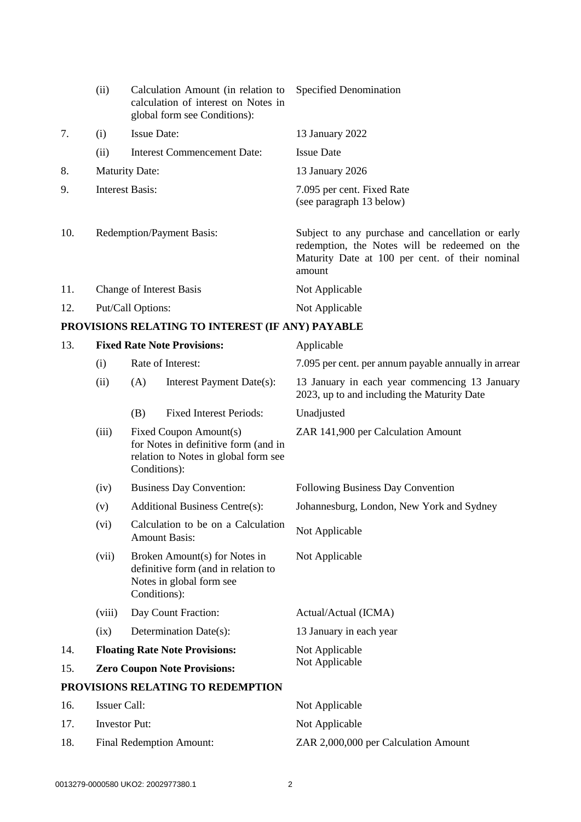|     | (ii)                             | Calculation Amount (in relation to<br>calculation of interest on Notes in<br>global form see Conditions): | <b>Specified Denomination</b>                                                                                                                                   |
|-----|----------------------------------|-----------------------------------------------------------------------------------------------------------|-----------------------------------------------------------------------------------------------------------------------------------------------------------------|
| 7.  | (i)                              | <b>Issue Date:</b>                                                                                        | 13 January 2022                                                                                                                                                 |
|     | (ii)                             | <b>Interest Commencement Date:</b>                                                                        | <b>Issue Date</b>                                                                                                                                               |
| 8.  | <b>Maturity Date:</b>            |                                                                                                           | 13 January 2026                                                                                                                                                 |
| 9.  | Interest Basis:                  |                                                                                                           | 7.095 per cent. Fixed Rate<br>(see paragraph 13 below)                                                                                                          |
| 10. | <b>Redemption/Payment Basis:</b> |                                                                                                           | Subject to any purchase and cancellation or early<br>redemption, the Notes will be redeemed on the<br>Maturity Date at 100 per cent. of their nominal<br>amount |
| 11. |                                  | <b>Change of Interest Basis</b>                                                                           | Not Applicable                                                                                                                                                  |
| 12. |                                  | Put/Call Options:                                                                                         | Not Applicable                                                                                                                                                  |
|     |                                  |                                                                                                           |                                                                                                                                                                 |

# **PROVISIONS RELATING TO INTEREST (IF ANY) PAYABLE**

| 13. |                                 |                                                                                                                        | <b>Fixed Rate Note Provisions:</b>                                                                               | Applicable                                                                                   |  |
|-----|---------------------------------|------------------------------------------------------------------------------------------------------------------------|------------------------------------------------------------------------------------------------------------------|----------------------------------------------------------------------------------------------|--|
|     | (i)                             |                                                                                                                        | Rate of Interest:                                                                                                | 7.095 per cent. per annum payable annually in arrear                                         |  |
|     | (ii)                            | (A)                                                                                                                    | Interest Payment Date(s):                                                                                        | 13 January in each year commencing 13 January<br>2023, up to and including the Maturity Date |  |
|     |                                 | (B)                                                                                                                    | <b>Fixed Interest Periods:</b>                                                                                   | Unadjusted                                                                                   |  |
|     | (iii)                           | Fixed Coupon Amount(s)<br>for Notes in definitive form (and in<br>relation to Notes in global form see<br>Conditions): |                                                                                                                  | ZAR 141,900 per Calculation Amount                                                           |  |
|     | (iv)                            |                                                                                                                        | <b>Business Day Convention:</b>                                                                                  | Following Business Day Convention                                                            |  |
|     | (v)                             |                                                                                                                        | <b>Additional Business Centre(s):</b>                                                                            | Johannesburg, London, New York and Sydney                                                    |  |
|     | (vi)                            |                                                                                                                        | Calculation to be on a Calculation<br><b>Amount Basis:</b>                                                       | Not Applicable                                                                               |  |
|     | (vii)                           |                                                                                                                        | Broken Amount(s) for Notes in<br>definitive form (and in relation to<br>Notes in global form see<br>Conditions): | Not Applicable                                                                               |  |
|     | (viii)                          |                                                                                                                        | Day Count Fraction:                                                                                              | Actual/Actual (ICMA)                                                                         |  |
|     | (ix)                            |                                                                                                                        | Determination Date(s):                                                                                           | 13 January in each year                                                                      |  |
| 14. |                                 | <b>Floating Rate Note Provisions:</b>                                                                                  |                                                                                                                  | Not Applicable                                                                               |  |
| 15. |                                 |                                                                                                                        | <b>Zero Coupon Note Provisions:</b>                                                                              | Not Applicable                                                                               |  |
|     |                                 |                                                                                                                        | PROVISIONS RELATING TO REDEMPTION                                                                                |                                                                                              |  |
| 16. |                                 | <b>Issuer Call:</b>                                                                                                    |                                                                                                                  | Not Applicable                                                                               |  |
| 17. |                                 | <b>Investor Put:</b>                                                                                                   |                                                                                                                  | Not Applicable                                                                               |  |
| 18. | <b>Final Redemption Amount:</b> |                                                                                                                        |                                                                                                                  | ZAR 2,000,000 per Calculation Amount                                                         |  |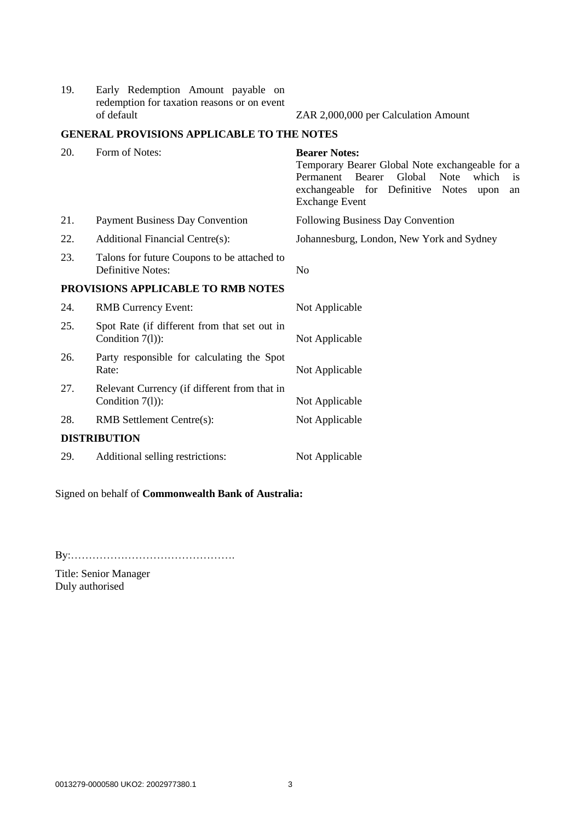19. Early Redemption Amount payable on redemption for taxation reasons or on event

ZAR 2,000,000 per Calculation Amount

## **GENERAL PROVISIONS APPLICABLE TO THE NOTES**

| 20. | Form of Notes:                                                     | <b>Bearer Notes:</b><br>Temporary Bearer Global Note exchangeable for a<br>Permanent Bearer<br>Global<br><b>Note</b><br>which<br><sup>is</sup><br>exchangeable for Definitive<br><b>Notes</b><br>upon<br>an<br><b>Exchange Event</b> |
|-----|--------------------------------------------------------------------|--------------------------------------------------------------------------------------------------------------------------------------------------------------------------------------------------------------------------------------|
| 21. | <b>Payment Business Day Convention</b>                             | Following Business Day Convention                                                                                                                                                                                                    |
| 22. | <b>Additional Financial Centre(s):</b>                             | Johannesburg, London, New York and Sydney                                                                                                                                                                                            |
| 23. | Talons for future Coupons to be attached to<br>Definitive Notes:   | N <sub>0</sub>                                                                                                                                                                                                                       |
|     | PROVISIONS APPLICABLE TO RMB NOTES                                 |                                                                                                                                                                                                                                      |
| 24. | <b>RMB Currency Event:</b>                                         | Not Applicable                                                                                                                                                                                                                       |
| 25. | Spot Rate (if different from that set out in<br>Condition $7(l)$ : | Not Applicable                                                                                                                                                                                                                       |
| 26. | Party responsible for calculating the Spot<br>Rate:                | Not Applicable                                                                                                                                                                                                                       |
| 27. | Relevant Currency (if different from that in<br>Condition $7(l)$ : | Not Applicable                                                                                                                                                                                                                       |
| 28. | <b>RMB</b> Settlement Centre(s):                                   | Not Applicable                                                                                                                                                                                                                       |
|     | <b>DISTRIBUTION</b>                                                |                                                                                                                                                                                                                                      |
| 29. | Additional selling restrictions:                                   | Not Applicable                                                                                                                                                                                                                       |

Signed on behalf of **Commonwealth Bank of Australia:**

By:……………………………………….

Title: Senior Manager Duly authorised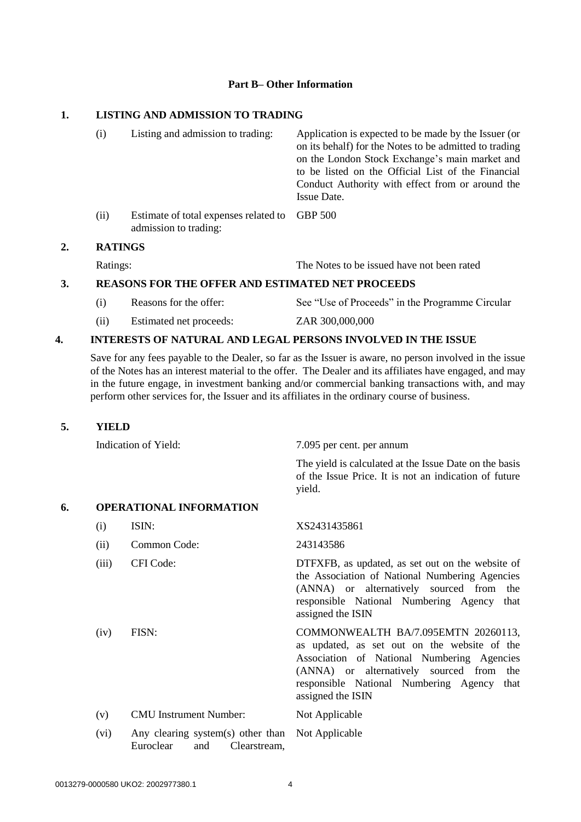#### **Part B– Other Information**

#### **1. LISTING AND ADMISSION TO TRADING**

|    | (i)            | Listing and admission to trading:                                      | Application is expected to be made by the Issuer (or<br>on its behalf) for the Notes to be admitted to trading<br>on the London Stock Exchange's main market and<br>to be listed on the Official List of the Financial<br>Conduct Authority with effect from or around the<br>Issue Date. |
|----|----------------|------------------------------------------------------------------------|-------------------------------------------------------------------------------------------------------------------------------------------------------------------------------------------------------------------------------------------------------------------------------------------|
|    | (ii)           | Estimate of total expenses related to GBP 500<br>admission to trading: |                                                                                                                                                                                                                                                                                           |
| 2. | <b>RATINGS</b> |                                                                        |                                                                                                                                                                                                                                                                                           |

Ratings: The Notes to be issued have not been rated

### **3. REASONS FOR THE OFFER AND ESTIMATED NET PROCEEDS**

- (i) Reasons for the offer: See "Use of Proceeds" in the Programme Circular (ii) Estimated net proceeds: ZAR 300,000,000
- 

# **4. INTERESTS OF NATURAL AND LEGAL PERSONS INVOLVED IN THE ISSUE**

Save for any fees payable to the Dealer, so far as the Issuer is aware, no person involved in the issue of the Notes has an interest material to the offer. The Dealer and its affiliates have engaged, and may in the future engage, in investment banking and/or commercial banking transactions with, and may perform other services for, the Issuer and its affiliates in the ordinary course of business.

## **5. YIELD**

Indication of Yield: 7.095 per cent. per annum The yield is calculated at the Issue Date on the basis of the Issue Price. It is not an indication of future yield. **6. OPERATIONAL INFORMATION** (i) ISIN: XS2431435861 (ii) Common Code: 243143586 (iii) CFI Code: DTFXFB, as updated, as set out on the website of the Association of National Numbering Agencies (ANNA) or alternatively sourced from the responsible National Numbering Agency that assigned the ISIN (iv) FISN: COMMONWEALTH BA/7.095EMTN 20260113, as updated, as set out on the website of the Association of National Numbering Agencies (ANNA) or alternatively sourced from the responsible National Numbering Agency that assigned the ISIN (v) CMU Instrument Number: Not Applicable (vi) Any clearing system(s) other than Not ApplicableEuroclear and Clearstream,